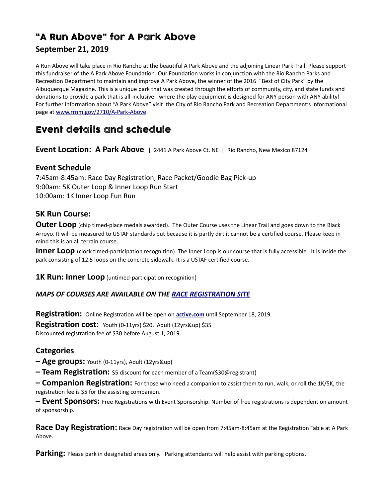# "A Run Above" for A Park Above

### **September 21, 2019**

A Run Above will take place in Rio Rancho at the beautiful A Park Above and the adjoining Linear Park Trail. Please support this fundraiser of the A Park Above Foundation. Our Foundation works in conjunction with the Rio Rancho Parks and Recreation Department to maintain and improve A Park Above, the winner of the 2016 "Best of City Park" by the Albuquerque Magazine. This is a unique park that was created through the efforts of community, city, and state funds and donations to provide a park that is all-inclusive - where the play equipment is designed for ANY person with ANY ability! For further information about "A Park Above" visit the City of Rio Rancho Park and Recreation Department's informational page at [www.rrnm.gov/2710/A-Park-Above.](http://rrnm.gov/2710/A-Park-Above)

## Event details and schedule

**Event Location: A Park Above** | 2441 A Park Above Ct. NE | Rio Rancho, New Mexico 87124

#### **Event Schedule**

7:45am-8:45am: Race Day Registration, Race Packet/Goodie Bag Pick-up 9:00am: 5K Outer Loop & Inner Loop Run Start 10:00am: 1K Inner Loop Fun Run

#### **5K Run Course:**

**Outer Loop** (chip timed-place medals awarded). The Outer Course uses the Linear Trail and goes down to the Black Arroyo. It will be measured to USTAF standards but because it is partly dirt it cannot be a certified course. Please keep in mind this is an all terrain course.

**Inner Loop** (clock timed-participation recognition). The Inner Loop is our course that is fully accessible. It is inside the park consisting of 12.5 loops on the concrete sidewalk. It is a USTAF certified course.

**1K Run: Inner Loop** (untimed-participation recognition)

#### *MAPS OF COURSES ARE AVAILABLE ON THE [RACE REGISTRATION SITE](https://www.active.com/rio-rancho-nm/running/distance-running-races/a-run-above-2019)*

**Registration:** Online Registration will be open on **[active.com](https://www.active.com/rio-rancho-nm/running/distance-running-races/a-run-above-2019)** until September 18, 2019.

**Registration cost:** Youth (0-11yrs) \$20, Adult (12yrs&up) \$35 Discounted registration fee of \$30 before August 1, 2019.

#### **Categories**

**– Age groups:** Youth (0-11yrs), Adult (12yrs&up)

**– Team Registration:** \$5 discount for each member of a Team(\$30@registrant)

**– Companion Registration:** For those who need a companion to assist them to run, walk, or roll the 1K/5K, the registration fee is \$5 for the assisting companion.

**– Event Sponsors:** Free Registrations with Event Sponsorship. Number of free registrations is dependent on amount of sponsorship.

**Race Day Registration:** Race Day registration will be open from 7:45am-8:45am at the Registration Table at A Park Above.

**Parking:** Please park in designated areas only. Parking attendants will help assist with parking options.